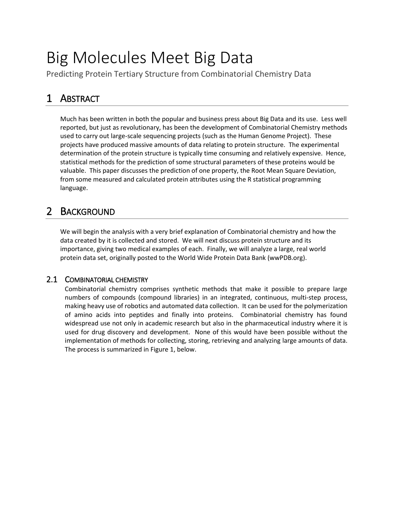# Big Molecules Meet Big Data

Predicting Protein Tertiary Structure from Combinatorial Chemistry Data

# 1 ABSTRACT

Much has been written in both the popular and business press about Big Data and its use. Less well reported, but just as revolutionary, has been the development of Combinatorial Chemistry methods used to carry out large-scale sequencing projects (such as the Human Genome Project). These projects have produced massive amounts of data relating to protein structure. The experimental determination of the protein structure is typically time consuming and relatively expensive. Hence, statistical methods for the prediction of some structural parameters of these proteins would be valuable. This paper discusses the prediction of one property, the Root Mean Square Deviation, from some measured and calculated protein attributes using the R statistical programming language.

## 2 BACKGROUND

We will begin the analysis with a very brief explanation of Combinatorial chemistry and how the data created by it is collected and stored. We will next discuss protein structure and its importance, giving two medical examples of each. Finally, we will analyze a large, real world protein data set, originally posted to the World Wide Protein Data Bank (wwPDB.org).

### 2.1 COMBINATORIAL CHEMISTRY

Combinatorial chemistry comprises synthetic methods that make it possible to prepare large numbers of compounds (compound libraries) in an integrated, continuous, multi-step process, making heavy use of robotics and automated data collection. It can be used for the polymerization of amino acids into peptides and finally into proteins. Combinatorial chemistry has found widespread use not only in academic research but also in the pharmaceutical industry where it is used for drug discovery and development. None of this would have been possible without the implementation of methods for collecting, storing, retrieving and analyzing large amounts of data. The process is summarized in Figure 1, below.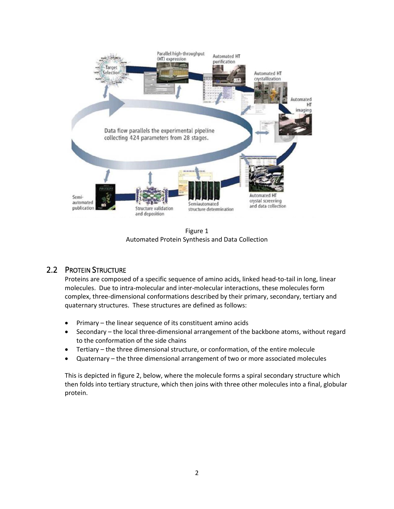

Figure 1 Automated Protein Synthesis and Data Collection

### 2.2 PROTEIN STRUCTURE

Proteins are composed of a specific sequence of amino acids, linked head-to-tail in long, linear molecules. Due to intra-molecular and inter-molecular interactions, these molecules form complex, three-dimensional conformations described by their primary, secondary, tertiary and quaternary structures. These structures are defined as follows:

- Primary the linear sequence of its constituent amino acids
- Secondary the local three-dimensional arrangement of the backbone atoms, without regard to the conformation of the side chains
- Tertiary the three dimensional structure, or conformation, of the entire molecule
- Quaternary the three dimensional arrangement of two or more associated molecules

This is depicted in figure 2, below, where the molecule forms a spiral secondary structure which then folds into tertiary structure, which then joins with three other molecules into a final, globular protein.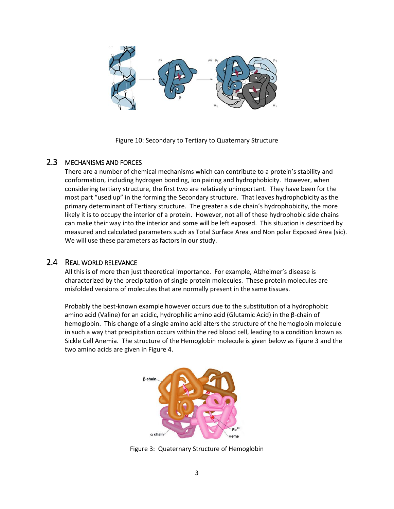

Figure 10: Secondary to Tertiary to Quaternary Structure

#### 2.3 MECHANISMS AND FORCES

There are a number of chemical mechanisms which can contribute to a protein's stability and conformation, including hydrogen bonding, ion pairing and hydrophobicity. However, when considering tertiary structure, the first two are relatively unimportant. They have been for the most part "used up" in the forming the Secondary structure. That leaves hydrophobicity as the primary determinant of Tertiary structure. The greater a side chain's hydrophobicity, the more likely it is to occupy the interior of a protein. However, not all of these hydrophobic side chains can make their way into the interior and some will be left exposed. This situation is described by measured and calculated parameters such as Total Surface Area and Non polar Exposed Area (sic). We will use these parameters as factors in our study.

#### 2.4 REAL WORLD RELEVANCE

All this is of more than just theoretical importance. For example, Alzheimer's disease is characterized by the precipitation of single protein molecules. These protein molecules are misfolded versions of molecules that are normally present in the same tissues.

Probably the best-known example however occurs due to the substitution of a hydrophobic amino acid (Valine) for an acidic, hydrophilic amino acid (Glutamic Acid) in the β-chain of hemoglobin. This change of a single amino acid alters the structure of the hemoglobin molecule in such a way that precipitation occurs within the red blood cell, leading to a condition known as Sickle Cell Anemia. The structure of the Hemoglobin molecule is given below as Figure 3 and the two amino acids are given in Figure 4.



Figure 3: Quaternary Structure of Hemoglobin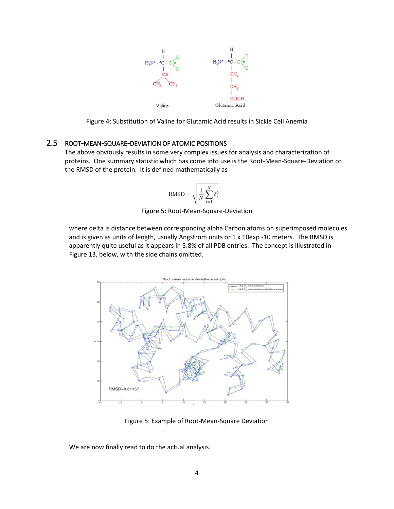

Figure 4: Substitution of Valine for Glutamic Acid results in Sickle Cell Anemia

### 2.5 ROOT-MEAN-SQUARE-DEVIATION OF ATOMIC POSITIONS

The above obviously results in some very complex issues for analysis and characterization of proteins. One summary statistic which has come into use is the Root-Mean-Square-Deviation or the RMSD of the protein. It is defined mathematically as

$$
\text{RMSD} = \sqrt{\frac{1}{N}\sum_{i=1}^N \delta_i^2}
$$

Figure 5: Root-Mean-Square-Deviation

where delta is distance between corresponding alpha Carbon atoms on superimposed molecules and is given as units of length, usually Angstrom units or 1 x 10exp -10 meters. The RMSD is apparently quite useful as it appears in 5.8% of all PDB entries. The concept is illustrated in Figure 13, below, with the side chains omitted.



Figure 5: Example of Root-Mean-Square Deviation

We are now finally read to do the actual analysis.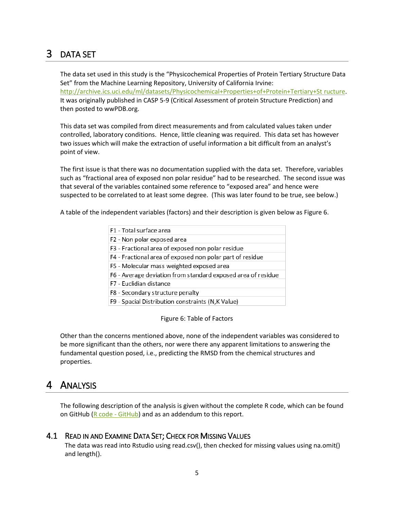# 3 DATA SET

The data set used in this study is the "Physicochemical Properties of Protein Tertiary Structure Data Set" from the Machine Learning Repository, University of California Irvine: [http://archive.ics.uci.edu/ml/datasets/Physicochemical+Properties+of+Protein+Tertiary+St](http://archive.ics.uci.edu/ml/datasets/Physicochemical+Properties+of+Protein+Tertiary+Structure) ructure. It was originally published in CASP 5-9 (Critical Assessment of protein Structure Prediction) and then posted to wwPDB.org.

This data set was compiled from direct measurements and from calculated values taken under controlled, laboratory conditions. Hence, little cleaning was required. This data set has however two issues which will make the extraction of useful information a bit difficult from an analyst's point of view.

The first issue is that there was no documentation supplied with the data set. Therefore, variables such as "fractional area of exposed non polar residue" had to be researched. The second issue was that several of the variables contained some reference to "exposed area" and hence were suspected to be correlated to at least some degree. (This was later found to be true, see below.)

A table of the independent variables (factors) and their description is given below as Figure 6.

| F1 - Total surface area                                      |
|--------------------------------------------------------------|
| F2 - Non polar exposed area                                  |
| F3 - Fractional area of exposed non polar residue            |
| F4 - Fractional area of exposed non polar part of residue    |
| F5 - Molecular mass weighted exposed area                    |
| F6 - Average deviation from standard exposed area of residue |
| F7 - Euclidian distance                                      |
| F8 - Secondary structure penalty                             |
| F9 - Spacial Distribution constraints (N, K Value)           |

Figure 6: Table of Factors

Other than the concerns mentioned above, none of the independent variables was considered to be more significant than the others, nor were there any apparent limitations to answering the fundamental question posed, i.e., predicting the RMSD from the chemical structures and properties.

## 4 ANALYSIS

The following description of the analysis is given without the complete R code, which can be found on GitHub ( $R \text{ code } - \text{ GitHub}$ ) and as an addendum to this report.

### 4.1 READ IN AND EXAMINE DATA SET; CHECK FOR MISSING VALUES

The data was read into Rstudio using read.csv(), then checked for missing values using na.omit() and length().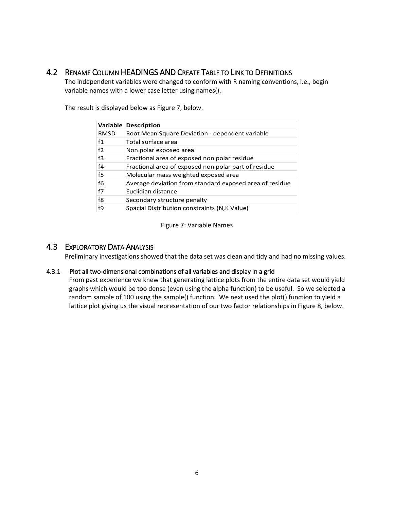### 4.2 RENAME COLUMN HEADINGS AND CREATE TABLE TO LINK TO DEFINITIONS

The independent variables were changed to conform with R naming conventions, i.e., begin variable names with a lower case letter using names().

The result is displayed below as Figure 7, below.

|                | Variable Description                                    |
|----------------|---------------------------------------------------------|
| <b>RMSD</b>    | Root Mean Square Deviation - dependent variable         |
| f1             | Total surface area                                      |
| f2             | Non polar exposed area                                  |
| f <sub>3</sub> | Fractional area of exposed non polar residue            |
| f <sub>4</sub> | Fractional area of exposed non polar part of residue    |
| f5             | Molecular mass weighted exposed area                    |
| f6             | Average deviation from standard exposed area of residue |
| f7             | Euclidian distance                                      |
| f8             | Secondary structure penalty                             |
| f9             | Spacial Distribution constraints (N,K Value)            |

Figure 7: Variable Names

#### 4.3 EXPLORATORY DATA ANALYSIS

Preliminary investigations showed that the data set was clean and tidy and had no missing values.

#### 4.3.1 Plot all two-dimensional combinations of all variables and display in a grid

From past experience we knew that generating lattice plots from the entire data set would yield graphs which would be too dense (even using the alpha function) to be useful. So we selected a random sample of 100 using the sample() function. We next used the plot() function to yield a lattice plot giving us the visual representation of our two factor relationships in Figure 8, below.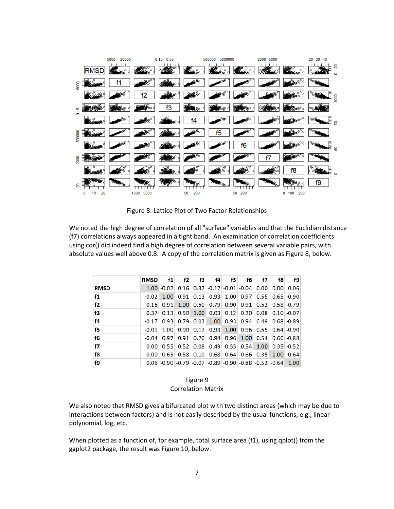|        |            | 5000<br>20000 |              | 0.15<br>0.35 |           | 3000000<br>500000 |           | 2000 5000 |                    | 30<br>20<br>40 |                 |
|--------|------------|---------------|--------------|--------------|-----------|-------------------|-----------|-----------|--------------------|----------------|-----------------|
|        | <b>RMS</b> |               |              |              |           | Ω                 |           |           | ۰                  |                | g               |
| 5000   |            |               |              |              | θ.        | ூ                 | ۰         |           | $0^{\circ}$        | qщ.            |                 |
|        |            |               |              |              |           |                   |           |           | $\circ$<br>$\circ$ |                | <sup>1000</sup> |
| 0.15   |            |               |              | f3           | 180       |                   | o         |           |                    |                |                 |
|        |            |               |              |              | f4        | .‱                | a.        |           |                    | မွန္           | ្ទ្រ<br>-       |
| 500000 |            |               |              |              |           | f5                | o         |           | $\circ$            | Om o           |                 |
|        | ۰          |               |              |              |           |                   | f6        |           |                    |                | Į,              |
| 2000   |            |               |              |              |           |                   |           |           |                    |                |                 |
|        |            |               |              |              |           |                   |           |           | f8                 |                | ▭               |
| g      |            |               |              |              |           |                   |           |           | ۰                  | f9             |                 |
|        | 20<br>10   |               | 5000<br>1000 |              | 50<br>200 |                   | 200<br>50 |           | 250<br>0<br>100    |                |                 |

Figure 8: Lattice Plot of Two Factor Relationships

We noted the high degree of correlation of all "surface" variables and that the Euclidian distance (f7) correlations always appeared in a tight band. An examination of correlation coefficients using cor() did indeed find a high degree of correlation between several variable pairs, with absolute values well above 0.8. A copy of the correlation matrix is given as Figure 8, below.

|             | <b>RMSD</b> | f1 | f2 | f3 | f4 | f5.                                                            | f6 | f7 | f8 | f9                                                          |
|-------------|-------------|----|----|----|----|----------------------------------------------------------------|----|----|----|-------------------------------------------------------------|
| <b>RMSD</b> |             |    |    |    |    | $1.00 - 0.02$ 0.16 0.37 0.17 0.01 0.04 0.00 0.00 0.06          |    |    |    |                                                             |
| f1          | $-0.02$     |    |    |    |    | 1.00 0.91 0.13 0.93 1.00 0.97 0.55 0.65 0.90                   |    |    |    |                                                             |
| f2          | 0.16        |    |    |    |    | 0.91 1.00 0.50 0.79 0.90 0.91 0.52 0.58 0.79                   |    |    |    |                                                             |
| f3          | 0.37        |    |    |    |    | $0.13$ 0.50 1.00 0.03 0.12 0.20 0.08 0.10 0.07                 |    |    |    |                                                             |
| f4          | $-0.17$     |    |    |    |    | $0.93$ 0.79 0.03 1.00 0.93 0.94 0.49 0.68 0.89                 |    |    |    |                                                             |
| f5          | $-0.01$     |    |    |    |    | 1.00 0.90 0.12 0.93 1.00 0.96 0.55 0.64 0.90                   |    |    |    |                                                             |
| f6          | $-0.04$     |    |    |    |    | $0.97$ $0.91$ $0.20$ $0.94$ $0.96$ $1.00$ $0.54$ $0.66$ $0.88$ |    |    |    |                                                             |
| f7          | 0.00        |    |    |    |    | $0.55$ 0.52 0.08 0.49 0.55 0.54 1.00 0.35 0.52                 |    |    |    |                                                             |
| f8          | 0.00        |    |    |    |    | 0.65 0.58 0.10 0.68 0.64 0.66 0.35 1.00 0.64                   |    |    |    |                                                             |
| f9          |             |    |    |    |    |                                                                |    |    |    | $0.06$ -0.90 -0.79 -0.07 -0.89 -0.90 -0.88 -0.52 -0.64 1.00 |

Figure 9 Correlation Matrix

We also noted that RMSD gives a bifurcated plot with two distinct areas (which may be due to interactions between factors) and is not easily described by the usual functions, e.g., linear polynomial, log, etc.

When plotted as a function of, for example, total surface area (f1), using qplot() from the ggplot2 package, the result was Figure 10, below.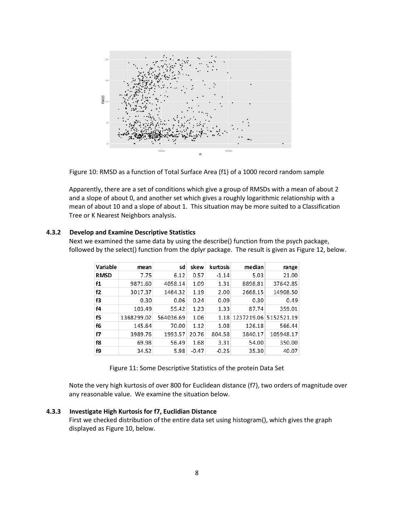

Figure 10: RMSD as a function of Total Surface Area (f1) of a 1000 record random sample

Apparently, there are a set of conditions which give a group of RMSDs with a mean of about 2 and a slope of about 0, and another set which gives a roughly logarithmic relationship with a mean of about 10 and a slope of about 1. This situation may be more suited to a Classification Tree or K Nearest Neighbors analysis.

#### **4.3.2 Develop and Examine Descriptive Statistics**

Next we examined the same data by using the describe() function from the psych package, followed by the select() function from the dplyr package. The result is given as Figure 12, below.

| Variable    | mean       | sd        | skew    | kurtosis | median                     | range     |
|-------------|------------|-----------|---------|----------|----------------------------|-----------|
| <b>RMSD</b> | 7.75       | 6.12      | 0.57    | $-1.14$  | 5.03                       | 21.00     |
| f1          | 9871.60    | 4058.14   | 1.09    | 1.31     | 8898.81                    | 37642.85  |
| f2          | 3017.37    | 1464.32   | 1.19    | 2.00     | 2668.15                    | 14908.50  |
| f3          | 0.30       | 0.06      | 0.24    | 0.09     | 0.30                       | 0.49      |
| f4          | 103.49     | 55.42     | 1.23    | 1.33     | 87.74                      | 359.01    |
| f5          | 1368299.02 | 564036.69 | 1.06    |          | 1.18 1237219.06 5152521.19 |           |
| f6          | 145.64     | 70.00     | 1.12    | 1.08     | 126.18                     | 566.44    |
| f7          | 3989.76    | 1993.57   | 20.76   | 804.58   | 3840.17                    | 105948.17 |
| f8          | 69.98      | 56.49     | 1.68    | 3.31     | 54.00                      | 350.00    |
| f9          | 34.52      | 5.98      | $-0.47$ | $-0.25$  | 35.30                      | 40.07     |

Figure 11: Some Descriptive Statistics of the protein Data Set

Note the very high kurtosis of over 800 for Euclidean distance (f7), two orders of magnitude over any reasonable value. We examine the situation below.

#### **4.3.3 Investigate High Kurtosis for f7, Euclidian Distance**

First we checked distribution of the entire data set using histogram(), which gives the graph displayed as Figure 10, below.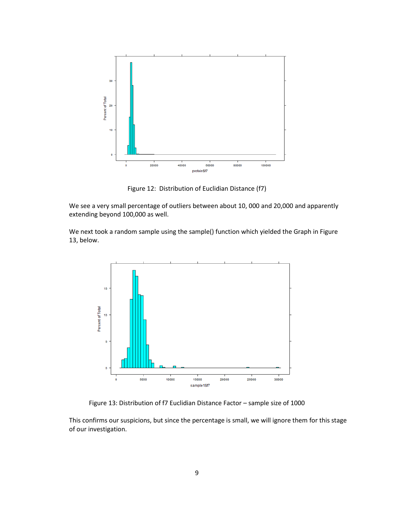

Figure 12: Distribution of Euclidian Distance (f7)

We see a very small percentage of outliers between about 10, 000 and 20,000 and apparently extending beyond 100,000 as well.

We next took a random sample using the sample() function which yielded the Graph in Figure 13, below.



Figure 13: Distribution of f7 Euclidian Distance Factor – sample size of 1000

This confirms our suspicions, but since the percentage is small, we will ignore them for this stage of our investigation.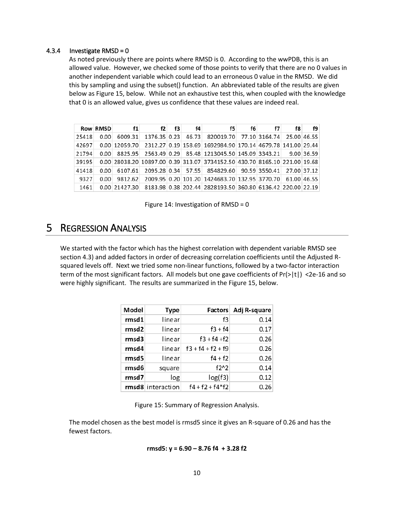#### 4.3.4 Investigate RMSD = 0

As noted previously there are points where RMSD is 0. According to the wwPDB, this is an allowed value. However, we checked some of those points to verify that there are no 0 values in another independent variable which could lead to an erroneous 0 value in the RMSD. We did this by sampling and using the subset() function. An abbreviated table of the results are given below as Figure 15, below. While not an exhaustive test this, when coupled with the knowledge that 0 is an allowed value, gives us confidence that these values are indeed real.

|       | Row RMSD | f1                       | f2 | f3 | f4 | f5                                                                        | f6 | f7 | f8         | f9 |
|-------|----------|--------------------------|----|----|----|---------------------------------------------------------------------------|----|----|------------|----|
| 25418 | 0.00     | 6009.31                  |    |    |    | 1376.35 0.23 46.73 820019.70 77.10 3164.74 25.00 46.55                    |    |    |            |    |
| 42697 |          |                          |    |    |    | 0.00 12059.70 2312.27 0.19 158.69 1692984.90 170.14 4679.78 141.00 29.44  |    |    |            |    |
| 21794 |          |                          |    |    |    | 0.00 8825.95 2563.49 0.29 85.48 1213045.50 145.09 3343.21                 |    |    | 9.00 36.59 |    |
| 39195 |          |                          |    |    |    | 0.00 28038.20 10897.00 0.39 313.07 3734152.50 430.70 8165.10 221.00 19.68 |    |    |            |    |
| 41418 |          | $0.00 \mid 6107.61 \mid$ |    |    |    | 2095.28 0.34 57.55 854829.60 90.59 3550.41 27.00 37.12                    |    |    |            |    |
| 9327  | 0.00     | 9812.62                  |    |    |    | 2009.95 0.20 101.20 1424683.70 132.95 3770.70 61.00 46.55                 |    |    |            |    |
| 1461  |          |                          |    |    |    | 0.00 21427.30 8183.98 0.38 202.44 2828193.50 360.80 6136.42 220.00 22.19  |    |    |            |    |

Figure 14: Investigation of RMSD = 0

### 5 REGRESSION ANALYSIS

We started with the factor which has the highest correlation with dependent variable RMSD see section 4.3) and added factors in order of decreasing correlation coefficients until the Adjusted Rsquared levels off. Next we tried some non-linear functions, followed by a two-factor interaction term of the most significant factors. All models but one gave coefficients of Pr(>|t|) <2e-16 and so were highly significant. The results are summarized in the Figure 15, below.

| Model | <b>Type</b>       |                     | Factors Adj R-square |
|-------|-------------------|---------------------|----------------------|
| rmsd1 | linear            | f3                  | 0.14                 |
| rmsd2 | linear            | $f3 + f4$           | 0.17                 |
| rmsd3 | linear            | $f3 + f4 + f2$      | 0.26                 |
| rmsd4 | linear            | $f3 + f4 + f2 + f9$ | 0.26                 |
| rmsd5 | linear            | $f4 + f2$           | 0.26                 |
| rmsd6 | square            | $f2^2$              | 0.14                 |
| rmsd7 | log               | log(f3)             | 0.12                 |
|       | rmsd8 interaction | $f4 + f2 + f4*f2$   | 0.26                 |

Figure 15: Summary of Regression Analysis.

The model chosen as the best model is rmsd5 since it gives an R-square of 0.26 and has the fewest factors.

rmsd5: 
$$
y = 6.90 - 8.76 f4 + 3.28 f2
$$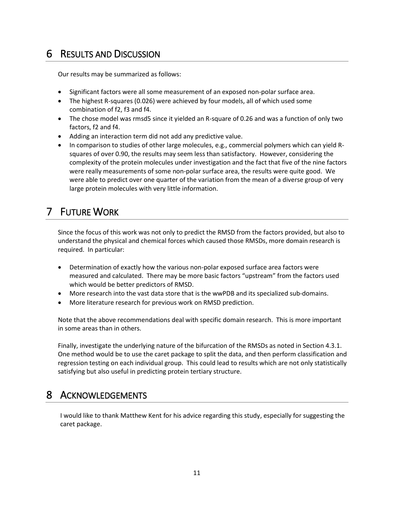# 6 RESULTS AND DISCUSSION

Our results may be summarized as follows:

- Significant factors were all some measurement of an exposed non-polar surface area.
- The highest R-squares (0.026) were achieved by four models, all of which used some combination of f2, f3 and f4.
- The chose model was rmsd5 since it yielded an R-square of 0.26 and was a function of only two factors, f2 and f4.
- Adding an interaction term did not add any predictive value.
- In comparison to studies of other large molecules, e.g., commercial polymers which can yield Rsquares of over 0.90, the results may seem less than satisfactory. However, considering the complexity of the protein molecules under investigation and the fact that five of the nine factors were really measurements of some non-polar surface area, the results were quite good. We were able to predict over one quarter of the variation from the mean of a diverse group of very large protein molecules with very little information.

# 7 FUTURE WORK

Since the focus of this work was not only to predict the RMSD from the factors provided, but also to understand the physical and chemical forces which caused those RMSDs, more domain research is required. In particular:

- Determination of exactly how the various non-polar exposed surface area factors were measured and calculated. There may be more basic factors "upstream" from the factors used which would be better predictors of RMSD.
- More research into the vast data store that is the wwPDB and its specialized sub-domains.
- More literature research for previous work on RMSD prediction.

Note that the above recommendations deal with specific domain research. This is more important in some areas than in others.

Finally, investigate the underlying nature of the bifurcation of the RMSDs as noted in Section 4.3.1. One method would be to use the caret package to split the data, and then perform classification and regression testing on each individual group. This could lead to results which are not only statistically satisfying but also useful in predicting protein tertiary structure.

### 8 ACKNOWLEDGEMENTS

I would like to thank Matthew Kent for his advice regarding this study, especially for suggesting the caret package.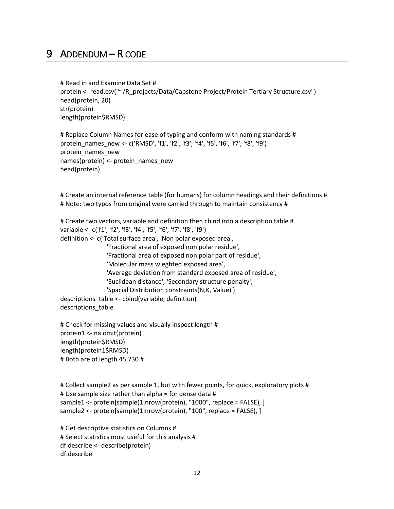### 9 ADDENDUM – R CODE

# Read in and Examine Data Set # protein <- read.csv("~/R\_projects/Data/Capstone Project/Protein Tertiary Structure.csv") head(protein, 20) str(protein) length(protein\$RMSD)

# Replace Column Names for ease of typing and conform with naming standards # protein\_names\_new <- c('RMSD', 'f1', 'f2', 'f3', 'f4', 'f5', 'f6', 'f7', 'f8', 'f9') protein\_names\_new names(protein) <- protein\_names\_new head(protein)

# Create an internal reference table (for humans) for column headings and their definitions # # Note: two typos from original were carried through to maintain consistency #

# Create two vectors, variable and definition then cbind into a description table # variable <- c('f1', 'f2', 'f3', 'f4', 'f5', 'f6', 'f7', 'f8', 'f9') definition <- c('Total surface area', 'Non polar exposed area', 'Fractional area of exposed non polar residue', 'Fractional area of exposed non polar part of residue', 'Molecular mass wieghted exposed area', 'Average deviation from standard exposed area of residue', 'Euclidean distance', 'Secondary structure penalty', 'Spacial Distribution constraints(N,K, Value)') descriptions\_table <- cbind(variable, definition) descriptions table

# Check for missing values and visually inspect length # protein1 <- na.omit(protein) length(protein\$RMSD) length(protein1\$RMSD) # Both are of length 45,730 #

# Collect sample2 as per sample 1, but with fewer points, for quick, exploratory plots # # Use sample size rather than alpha = for dense data # sample1 <- protein[sample(1:nrow(protein), "1000", replace = FALSE), ] sample2 <- protein[sample(1:nrow(protein), "100", replace = FALSE), ]

# Get descriptive statistics on Columns # # Select statistics most useful for this analysis # df.describe <- describe(protein) df.describe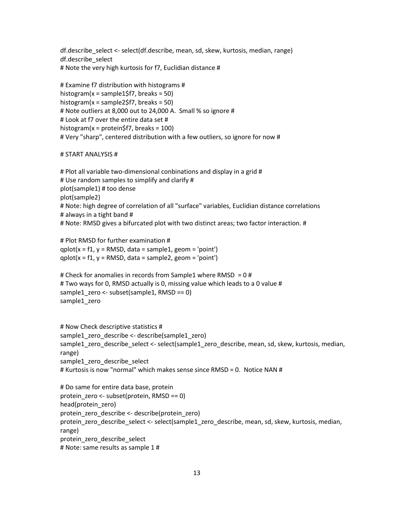df.describe\_select <- select(df.describe, mean, sd, skew, kurtosis, median, range) df.describe\_select # Note the very high kurtosis for f7, Euclidian distance #

```
# Examine f7 distribution with histograms #
histogram(x =sample1$f7, breaks = 50)
histogram(x = sample2$f7, breaks = 50)
# Note outliers at 8,000 out to 24,000 A. Small % so ignore #
# Look at f7 over the entire data set #
histogram(x = protein$f7, breaks = 100)
# Very "sharp", centered distribution with a few outliers, so ignore for now #
```
#### # START ANALYSIS #

# Plot all variable two-dimensional conbinations and display in a grid # # Use random samples to simplify and clarify # plot(sample1) # too dense plot(sample2) # Note: high degree of correlation of all "surface" variables, Euclidian distance correlations # always in a tight band # # Note: RMSD gives a bifurcated plot with two distinct areas; two factor interaction. #

# Plot RMSD for further examination # qplot( $x = f1$ ,  $y = RMSD$ , data = sample1, geom = 'point') qplot( $x = f1$ ,  $y = RMSD$ , data = sample2, geom = 'point')

# Check for anomalies in records from Sample1 where RMSD = 0 # # Two ways for 0, RMSD actually is 0, missing value which leads to a 0 value # sample1\_zero <- subset(sample1, RMSD == 0) sample1\_zero

```
# Now Check descriptive statistics #
sample1_zero_describe <- describe(sample1_zero)
sample1_zero_describe_select <- select(sample1_zero_describe, mean, sd, skew, kurtosis, median, 
range)
sample1_zero_describe_select
# Kurtosis is now "normal" which makes sense since RMSD = 0. Notice NAN #
```

```
# Do same for entire data base, protein
protein_zero <- subset(protein, RMSD == 0)
head(protein_zero)
protein_zero_describe <- describe(protein_zero)
protein_zero_describe_select <- select(sample1_zero_describe, mean, sd, skew, kurtosis, median, 
range)
protein_zero_describe_select
# Note: same results as sample 1 #
```